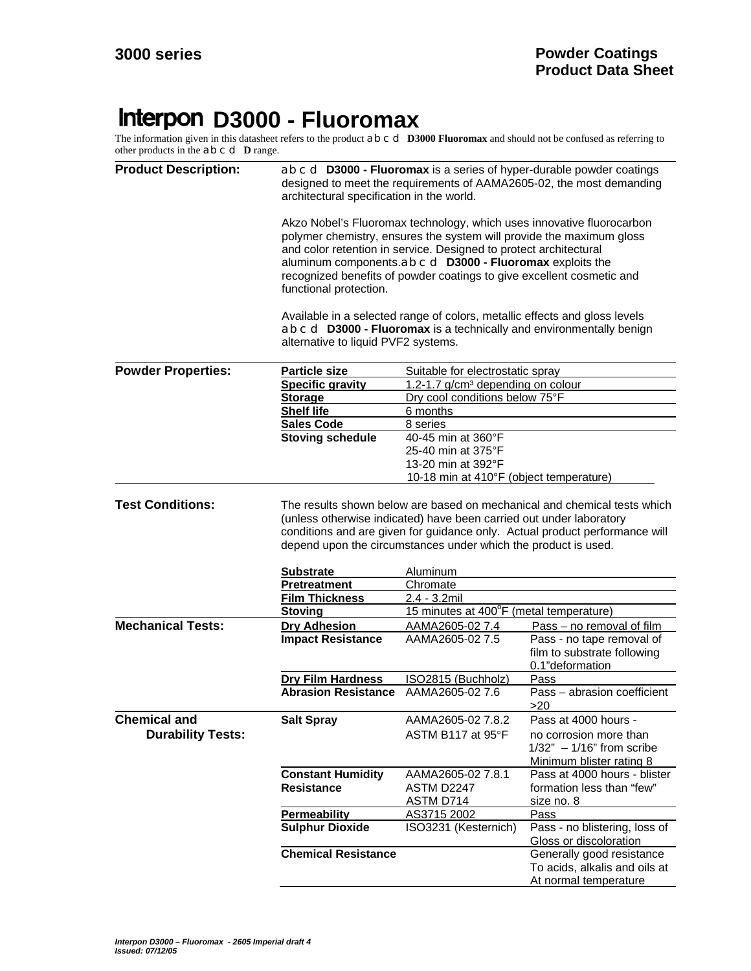## **Interpon D3000 - Fluoromax**

The information given in this datasheet refers to the product a b c d **D3000 Fluoromax** and should not be confused as referring to other products in the a b c d **D** range.

| <b>Product Description:</b> | a b c d D3000 - Fluoromax is a series of hyper-durable powder coatings<br>designed to meet the requirements of AAMA2605-02, the most demanding<br>architectural specification in the world.                                                                                                                                                                                                                                                                                                                                                                                     |                                                                            |                                                                                   |  |
|-----------------------------|---------------------------------------------------------------------------------------------------------------------------------------------------------------------------------------------------------------------------------------------------------------------------------------------------------------------------------------------------------------------------------------------------------------------------------------------------------------------------------------------------------------------------------------------------------------------------------|----------------------------------------------------------------------------|-----------------------------------------------------------------------------------|--|
|                             | Akzo Nobel's Fluoromax technology, which uses innovative fluorocarbon<br>polymer chemistry, ensures the system will provide the maximum gloss<br>and color retention in service. Designed to protect architectural<br>aluminum components.ab c d D3000 - Fluoromax exploits the<br>recognized benefits of powder coatings to give excellent cosmetic and<br>functional protection.<br>Available in a selected range of colors, metallic effects and gloss levels<br>ab c d D3000 - Fluoromax is a technically and environmentally benign<br>alternative to liquid PVF2 systems. |                                                                            |                                                                                   |  |
|                             |                                                                                                                                                                                                                                                                                                                                                                                                                                                                                                                                                                                 |                                                                            |                                                                                   |  |
| <b>Powder Properties:</b>   | <b>Particle size</b>                                                                                                                                                                                                                                                                                                                                                                                                                                                                                                                                                            | Suitable for electrostatic spray                                           |                                                                                   |  |
|                             | <b>Specific gravity</b>                                                                                                                                                                                                                                                                                                                                                                                                                                                                                                                                                         | 1.2-1.7 g/cm <sup>3</sup> depending on colour                              |                                                                                   |  |
|                             | <b>Storage</b>                                                                                                                                                                                                                                                                                                                                                                                                                                                                                                                                                                  | Dry cool conditions below 75°F                                             |                                                                                   |  |
|                             | <b>Shelf life</b>                                                                                                                                                                                                                                                                                                                                                                                                                                                                                                                                                               | 6 months                                                                   |                                                                                   |  |
|                             | <b>Sales Code</b>                                                                                                                                                                                                                                                                                                                                                                                                                                                                                                                                                               | 8 series                                                                   |                                                                                   |  |
|                             | <b>Stoving schedule</b>                                                                                                                                                                                                                                                                                                                                                                                                                                                                                                                                                         | 40-45 min at 360°F                                                         |                                                                                   |  |
|                             |                                                                                                                                                                                                                                                                                                                                                                                                                                                                                                                                                                                 | 25-40 min at 375°F                                                         |                                                                                   |  |
|                             |                                                                                                                                                                                                                                                                                                                                                                                                                                                                                                                                                                                 | 13-20 min at 392°F                                                         |                                                                                   |  |
|                             |                                                                                                                                                                                                                                                                                                                                                                                                                                                                                                                                                                                 | 10-18 min at 410°F (object temperature)                                    |                                                                                   |  |
|                             | <b>Substrate</b>                                                                                                                                                                                                                                                                                                                                                                                                                                                                                                                                                                | depend upon the circumstances under which the product is used.<br>Aluminum | conditions and are given for guidance only. Actual product performance will       |  |
|                             |                                                                                                                                                                                                                                                                                                                                                                                                                                                                                                                                                                                 |                                                                            |                                                                                   |  |
|                             | <b>Pretreatment</b>                                                                                                                                                                                                                                                                                                                                                                                                                                                                                                                                                             | Chromate                                                                   |                                                                                   |  |
|                             | <b>Film Thickness</b>                                                                                                                                                                                                                                                                                                                                                                                                                                                                                                                                                           | 2.4 - 3.2mil<br>15 minutes at 400°F (metal temperature)                    |                                                                                   |  |
|                             | <b>Stoving</b>                                                                                                                                                                                                                                                                                                                                                                                                                                                                                                                                                                  |                                                                            |                                                                                   |  |
| <b>Mechanical Tests:</b>    | <b>Dry Adhesion</b>                                                                                                                                                                                                                                                                                                                                                                                                                                                                                                                                                             | AAMA2605-02 7.4                                                            | Pass - no removal of film                                                         |  |
|                             | <b>Impact Resistance</b>                                                                                                                                                                                                                                                                                                                                                                                                                                                                                                                                                        | AAMA2605-02 7.5                                                            | Pass - no tape removal of<br>film to substrate following<br>0.1"deformation       |  |
|                             | <b>Dry Film Hardness</b>                                                                                                                                                                                                                                                                                                                                                                                                                                                                                                                                                        | ISO2815 (Buchholz)                                                         | Pass                                                                              |  |
|                             | <b>Abrasion Resistance</b>                                                                                                                                                                                                                                                                                                                                                                                                                                                                                                                                                      | AAMA2605-02 7.6                                                            | Pass - abrasion coefficient<br>>20                                                |  |
| <b>Chemical and</b>         | <b>Salt Spray</b>                                                                                                                                                                                                                                                                                                                                                                                                                                                                                                                                                               | AAMA2605-02 7.8.2                                                          | Pass at 4000 hours -                                                              |  |
| <b>Durability Tests:</b>    |                                                                                                                                                                                                                                                                                                                                                                                                                                                                                                                                                                                 | ASTM B117 at 95°F                                                          | no corrosion more than<br>$1/32" - 1/16"$ from scribe<br>Minimum blister rating 8 |  |
|                             | <b>Constant Humidity</b>                                                                                                                                                                                                                                                                                                                                                                                                                                                                                                                                                        | AAMA2605-02 7.8.1                                                          | Pass at 4000 hours - blister                                                      |  |
|                             | <b>Resistance</b>                                                                                                                                                                                                                                                                                                                                                                                                                                                                                                                                                               | ASTM D2247                                                                 | formation less than "few"                                                         |  |
|                             |                                                                                                                                                                                                                                                                                                                                                                                                                                                                                                                                                                                 | <b>ASTM D714</b>                                                           | size no. 8                                                                        |  |
|                             | <b>Permeability</b>                                                                                                                                                                                                                                                                                                                                                                                                                                                                                                                                                             | AS3715 2002                                                                | Pass                                                                              |  |
|                             | <b>Sulphur Dioxide</b>                                                                                                                                                                                                                                                                                                                                                                                                                                                                                                                                                          | ISO3231 (Kesternich)                                                       | Pass - no blistering, loss of                                                     |  |
|                             |                                                                                                                                                                                                                                                                                                                                                                                                                                                                                                                                                                                 |                                                                            | Gloss or discoloration                                                            |  |
|                             | <b>Chemical Resistance</b>                                                                                                                                                                                                                                                                                                                                                                                                                                                                                                                                                      |                                                                            | Generally good resistance                                                         |  |
|                             |                                                                                                                                                                                                                                                                                                                                                                                                                                                                                                                                                                                 |                                                                            | To acids, alkalis and oils at                                                     |  |
|                             |                                                                                                                                                                                                                                                                                                                                                                                                                                                                                                                                                                                 |                                                                            | At normal temperature                                                             |  |